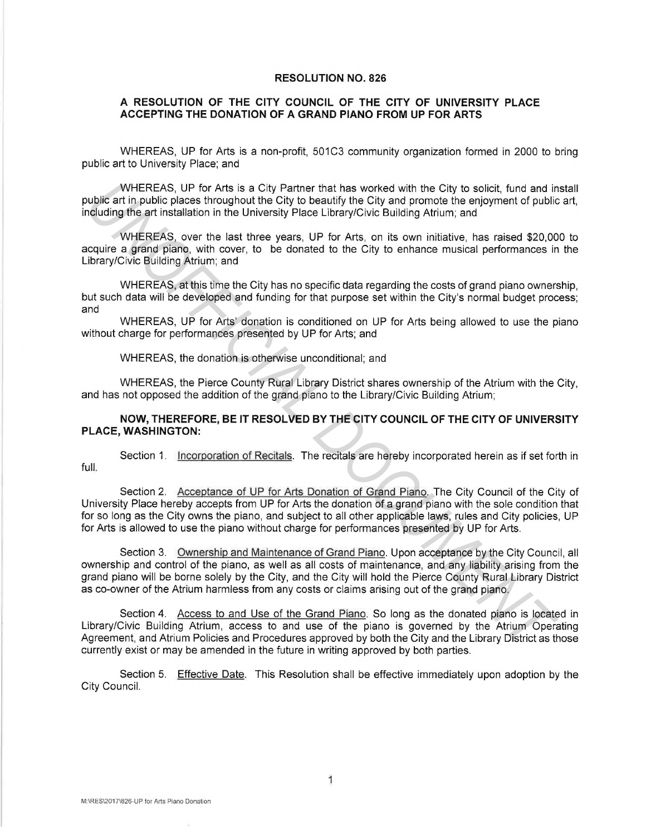## **RESOLUTION NO. 826**

## **A RESOLUTION OF THE CITY COUNCIL OF THE CITY OF UNIVERSITY PLACE ACCEPTING THE DONATION OF A GRAND PIANO FROM UP FOR ARTS**

WHEREAS, UP for Arts is a non-profit, 501C3 community organization formed in 2000 to bring public art to University Place; and

WHEREAS, UP for Arts is a City Partner that has worked with the City to solicit, fund and install public art in public places throughout the City to beautify the City and promote the enjoyment of public art, including the art installation in the University Place Library/Civic Building Atrium; and

WHEREAS, over the last three years, UP for Arts, on its own initiative, has raised \$20,000 to acquire a grand piano, with cover, to be donated to the City to enhance musical performances in the Library/Civic Building Atrium; and

WHEREAS, at this time the City has no specific data regarding the costs of grand piano ownership, but such data will be developed and funding for that purpose set within the City's normal budget process; and

WHEREAS, UP for Arts' donation is conditioned on UP for Arts being allowed to use the piano without charge for performances presented by UP for Arts; and

WHEREAS, the donation is otherwise unconditional; and

WHEREAS, the Pierce County Rural Library District shares ownership of the Atrium with the City, and has not opposed the addition of the grand piano to the Library/Civic Building Atrium;

## **NOW, THEREFORE, BE IT RESOLVED BY THE CITY COUNCIL OF THE CITY OF UNIVERSITY PLACE, WASHINGTON:**

Section 1. Incorporation of Recitals. The recitals are hereby incorporated herein as if set forth in full.

Section 2. Acceptance of UP for Arts Donation of Grand Piano. The City Council of the City of University Place hereby accepts from UP for Arts the donation of a grand piano with the sole condition that for so long as the City owns the piano, and subject to all other applicable laws, rules and City policies, UP for Arts is allowed to use the piano without charge for performances presented by UP for Arts.

Section 3. Ownership and Maintenance of Grand Piano. Upon acceptance by the City Council, all ownership and control of the piano, as well as all costs of maintenance, and any liability arising from the grand piano will be borne solely by the City, and the City will hold the Pierce County Rural Library District as co-owner of the Atrium harmless from any costs or claims arising out of the grand piano. WHEREAS. UP for Afts is a City Patner that has worked with the City to solicit, fund and<br>ublig at in public places throughout the City to beautify the City and promote he enjoyment of public<br>ublig at in public places throu

Section 4. Access to and Use of the Grand Piano. So long as the donated piano is located in Library/Civic Building Atrium, access to and use of the piano is governed by the Atrium Operating Agreement, and Atrium Policies and Procedures approved by both the City and the Library District as those currently exist or may be amended in the future in writing approved by both parties.

Section 5. Effective Date. This Resolution shall be effective immediately upon adoption by the City Council.